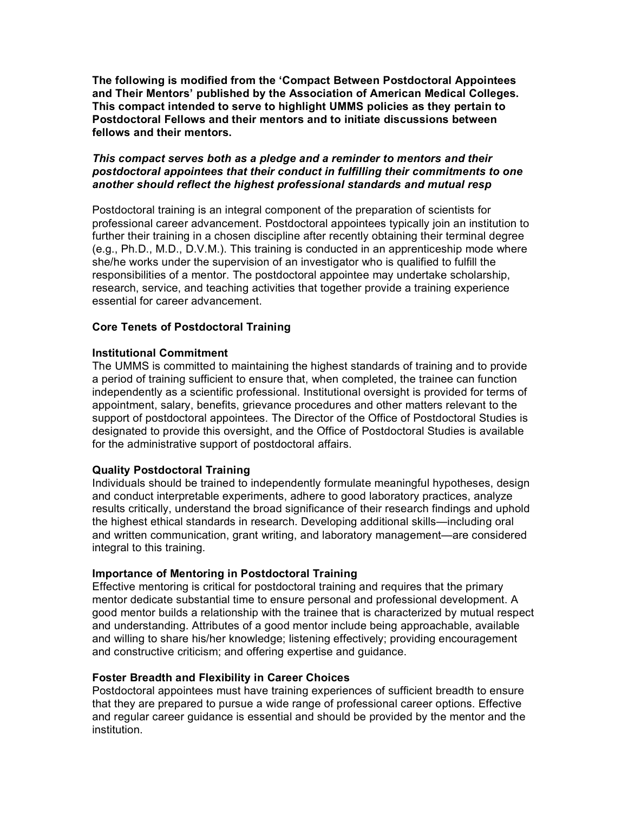**The following is modified from the 'Compact Between Postdoctoral Appointees and Their Mentors' published by the Association of American Medical Colleges. This compact intended to serve to highlight UMMS policies as they pertain to Postdoctoral Fellows and their mentors and to initiate discussions between fellows and their mentors.**

## *This compact serves both as a pledge and a reminder to mentors and their postdoctoral appointees that their conduct in fulfilling their commitments to one another should reflect the highest professional standards and mutual resp*

Postdoctoral training is an integral component of the preparation of scientists for professional career advancement. Postdoctoral appointees typically join an institution to further their training in a chosen discipline after recently obtaining their terminal degree (e.g., Ph.D., M.D., D.V.M.). This training is conducted in an apprenticeship mode where she/he works under the supervision of an investigator who is qualified to fulfill the responsibilities of a mentor. The postdoctoral appointee may undertake scholarship, research, service, and teaching activities that together provide a training experience essential for career advancement.

## **Core Tenets of Postdoctoral Training**

## **Institutional Commitment**

The UMMS is committed to maintaining the highest standards of training and to provide a period of training sufficient to ensure that, when completed, the trainee can function independently as a scientific professional. Institutional oversight is provided for terms of appointment, salary, benefits, grievance procedures and other matters relevant to the support of postdoctoral appointees. The Director of the Office of Postdoctoral Studies is designated to provide this oversight, and the Office of Postdoctoral Studies is available for the administrative support of postdoctoral affairs.

#### **Quality Postdoctoral Training**

Individuals should be trained to independently formulate meaningful hypotheses, design and conduct interpretable experiments, adhere to good laboratory practices, analyze results critically, understand the broad significance of their research findings and uphold the highest ethical standards in research. Developing additional skills—including oral and written communication, grant writing, and laboratory management—are considered integral to this training.

# **Importance of Mentoring in Postdoctoral Training**

Effective mentoring is critical for postdoctoral training and requires that the primary mentor dedicate substantial time to ensure personal and professional development. A good mentor builds a relationship with the trainee that is characterized by mutual respect and understanding. Attributes of a good mentor include being approachable, available and willing to share his/her knowledge; listening effectively; providing encouragement and constructive criticism; and offering expertise and guidance.

#### **Foster Breadth and Flexibility in Career Choices**

Postdoctoral appointees must have training experiences of sufficient breadth to ensure that they are prepared to pursue a wide range of professional career options. Effective and regular career guidance is essential and should be provided by the mentor and the institution.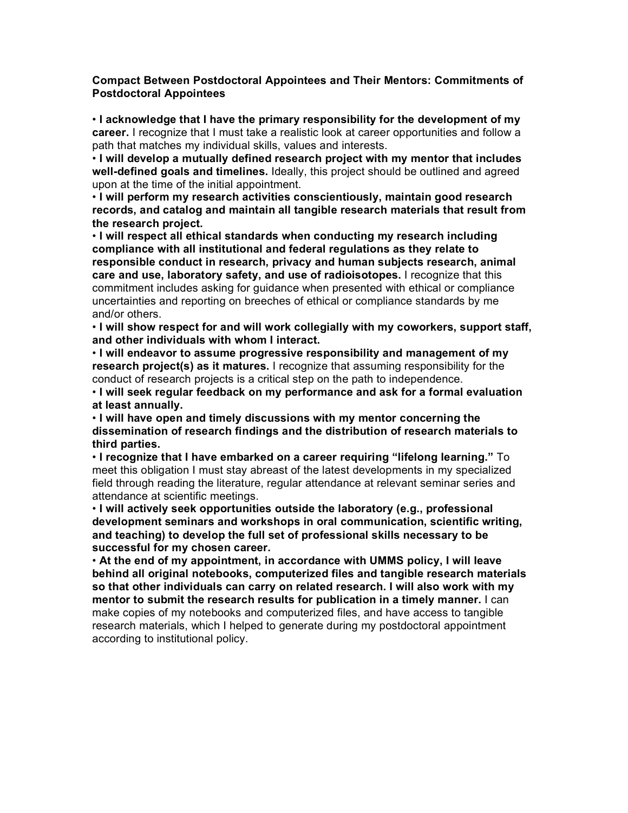### **Compact Between Postdoctoral Appointees and Their Mentors: Commitments of Postdoctoral Appointees**

• **I acknowledge that I have the primary responsibility for the development of my career.** I recognize that I must take a realistic look at career opportunities and follow a path that matches my individual skills, values and interests.

• **I will develop a mutually defined research project with my mentor that includes well-defined goals and timelines.** Ideally, this project should be outlined and agreed upon at the time of the initial appointment.

• **I will perform my research activities conscientiously, maintain good research records, and catalog and maintain all tangible research materials that result from the research project.**

• **I will respect all ethical standards when conducting my research including compliance with all institutional and federal regulations as they relate to responsible conduct in research, privacy and human subjects research, animal care and use, laboratory safety, and use of radioisotopes.** I recognize that this commitment includes asking for guidance when presented with ethical or compliance uncertainties and reporting on breeches of ethical or compliance standards by me and/or others.

• **I will show respect for and will work collegially with my coworkers, support staff, and other individuals with whom I interact.**

• **I will endeavor to assume progressive responsibility and management of my research project(s) as it matures.** I recognize that assuming responsibility for the conduct of research projects is a critical step on the path to independence.

• **I will seek regular feedback on my performance and ask for a formal evaluation at least annually.**

• **I will have open and timely discussions with my mentor concerning the dissemination of research findings and the distribution of research materials to third parties.**

• **I recognize that I have embarked on a career requiring "lifelong learning."** To meet this obligation I must stay abreast of the latest developments in my specialized field through reading the literature, regular attendance at relevant seminar series and attendance at scientific meetings.

• **I will actively seek opportunities outside the laboratory (e.g., professional development seminars and workshops in oral communication, scientific writing, and teaching) to develop the full set of professional skills necessary to be successful for my chosen career.**

• **At the end of my appointment, in accordance with UMMS policy, I will leave behind all original notebooks, computerized files and tangible research materials so that other individuals can carry on related research. I will also work with my mentor to submit the research results for publication in a timely manner.** I can make copies of my notebooks and computerized files, and have access to tangible research materials, which I helped to generate during my postdoctoral appointment according to institutional policy.